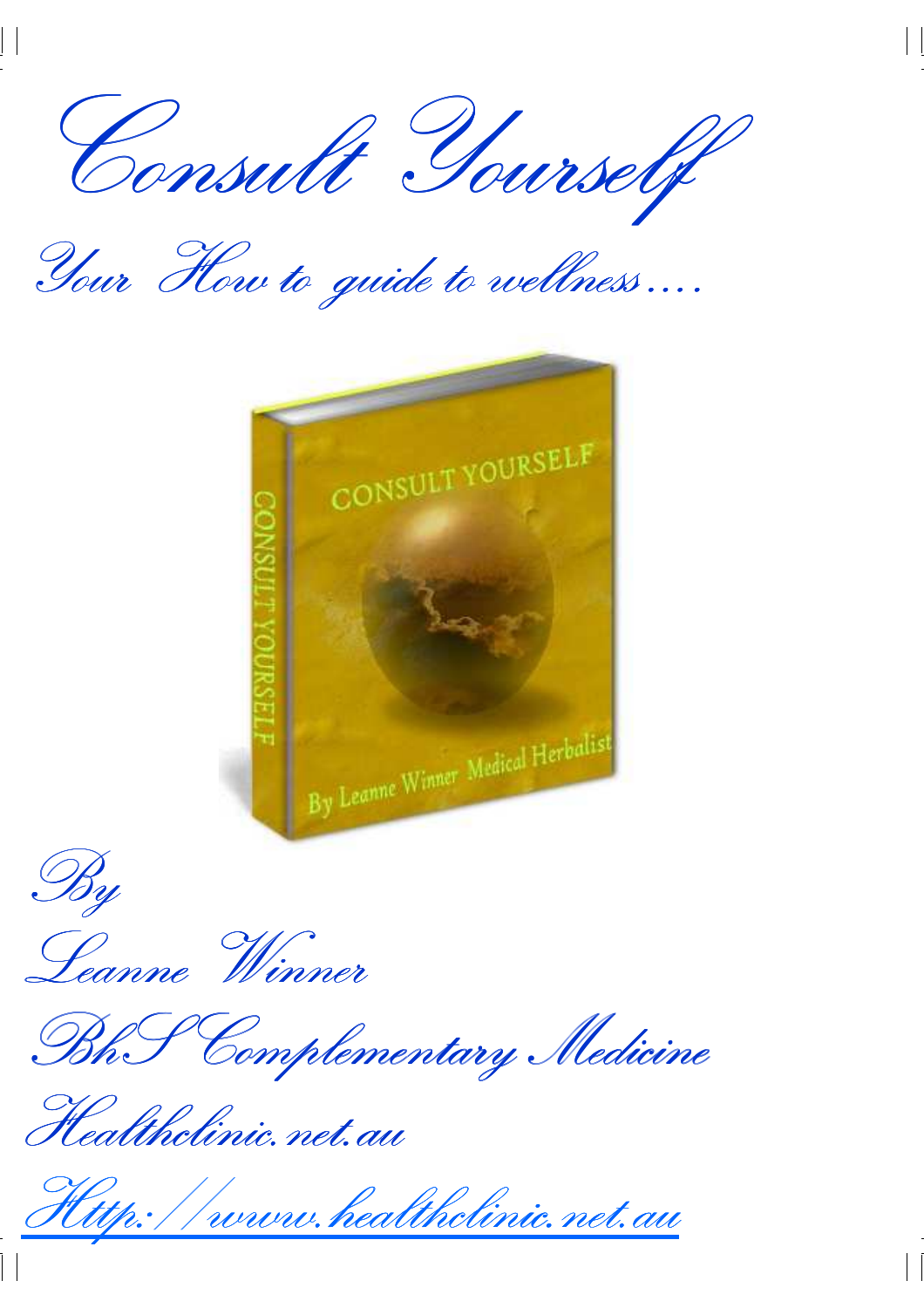Consult Yourself Consult Yourself

Your How to guide to wellness ….





Leanne Winner

BhS Complementary Medicine BhS Medicine

Healthclinic.net.au

www.healthclinic.net.au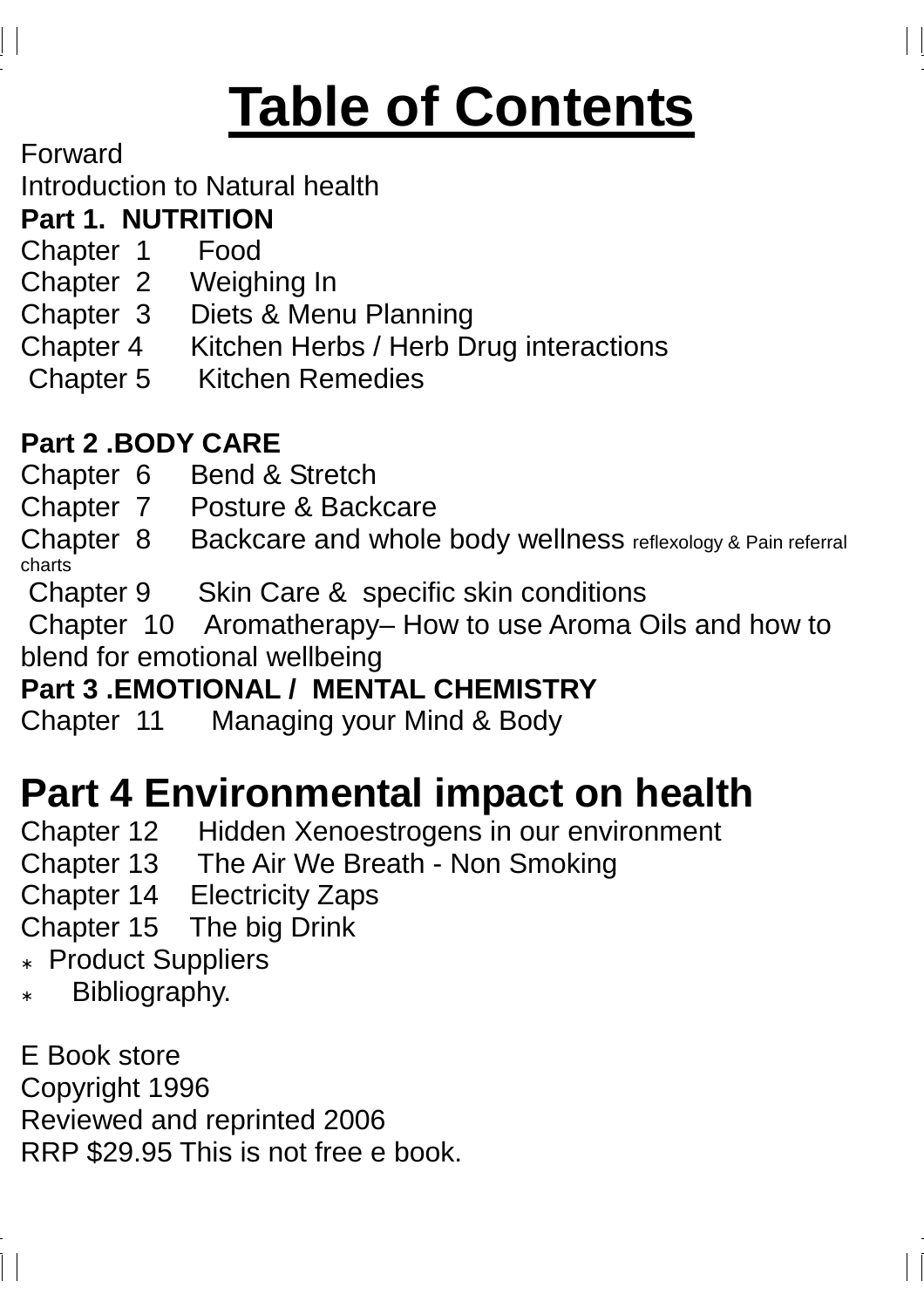# **Table of Contents**

Forward

Introduction to Natural health

#### **Part 1. NUTRITION**

- Chapter 1 Food
- Chapter 2 Weighing In
- Chapter 3 Diets & Menu Planning
- Chapter 4 Kitchen Herbs / Herb Drug interactions
- Chapter 5 Kitchen Remedies

#### **Part 2 .BODY CARE**

- Chapter 6 Bend & Stretch
- Chapter 7 Posture & Backcare

Chapter 8 Backcare and whole body wellness reflexology & Pain referral charts

Chapter 9 Skin Care & specific skin conditions

 Chapter 10 Aromatherapy– How to use Aroma Oils and how to blend for emotional wellbeing

#### **Part 3 .EMOTIONAL / MENTAL CHEMISTRY**

Chapter 11 Managing your Mind & Body

# **Part 4 Environmental impact on health**

- Chapter 12 Hidden Xenoestrogens in our environment
- Chapter 13 The Air We Breath Non Smoking
- Chapter 14 Electricity Zaps
- Chapter 15 The big Drink
- **Product Suppliers**
- Bibliography.

E Book store Copyright 1996 Reviewed and reprinted 2006 RRP \$29.95 This is not free e book.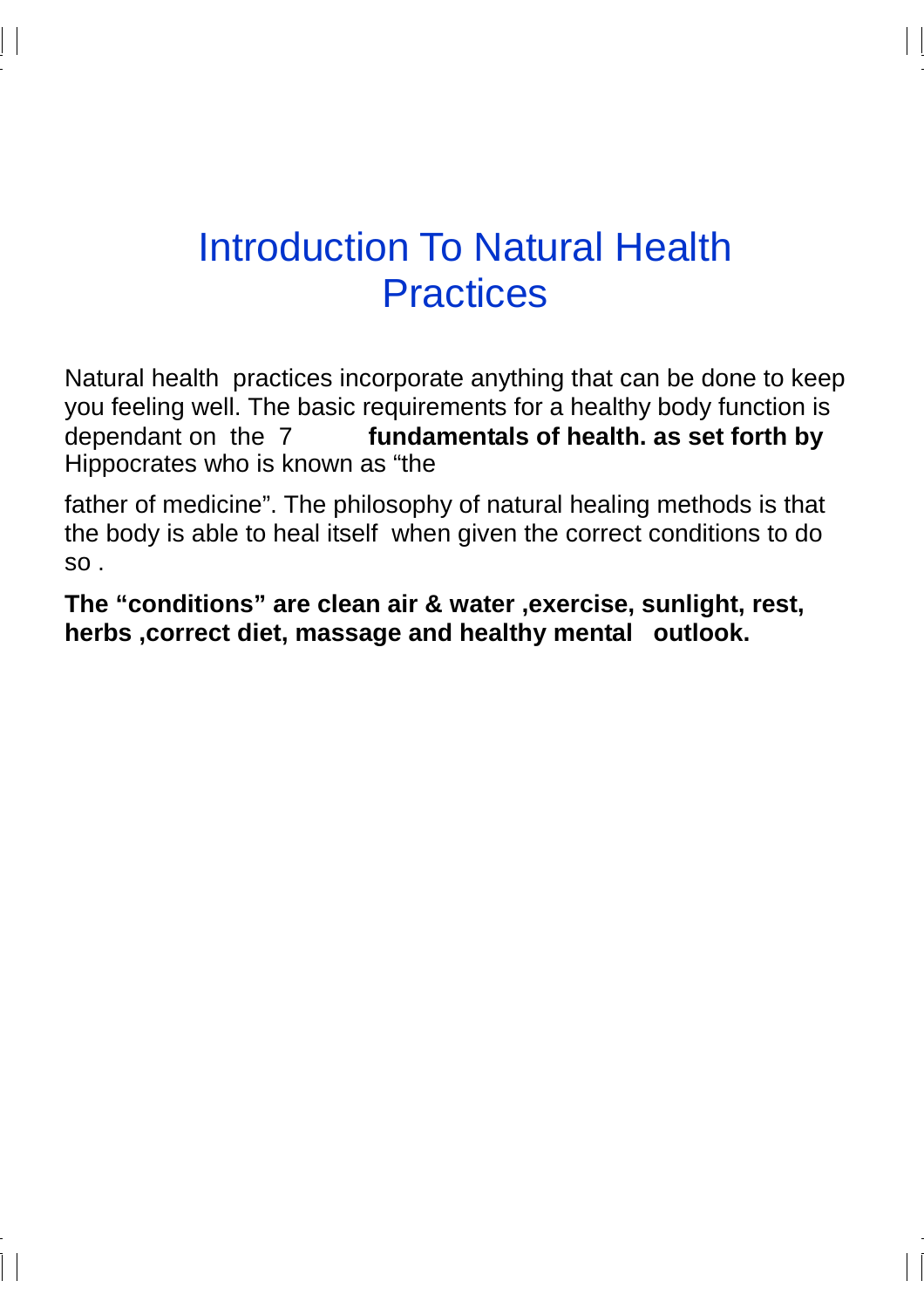## Introduction To Natural Health **Practices**

Natural health practices incorporate anything that can be done to keep you feeling well. The basic requirements for a healthy body function is dependant on the 7 **fundamentals of health. as set forth by**  Hippocrates who is known as "the

father of medicine". The philosophy of natural healing methods is that the body is able to heal itself when given the correct conditions to do so .

**The "conditions" are clean air & water ,exercise, sunlight, rest, herbs ,correct diet, massage and healthy mental outlook.**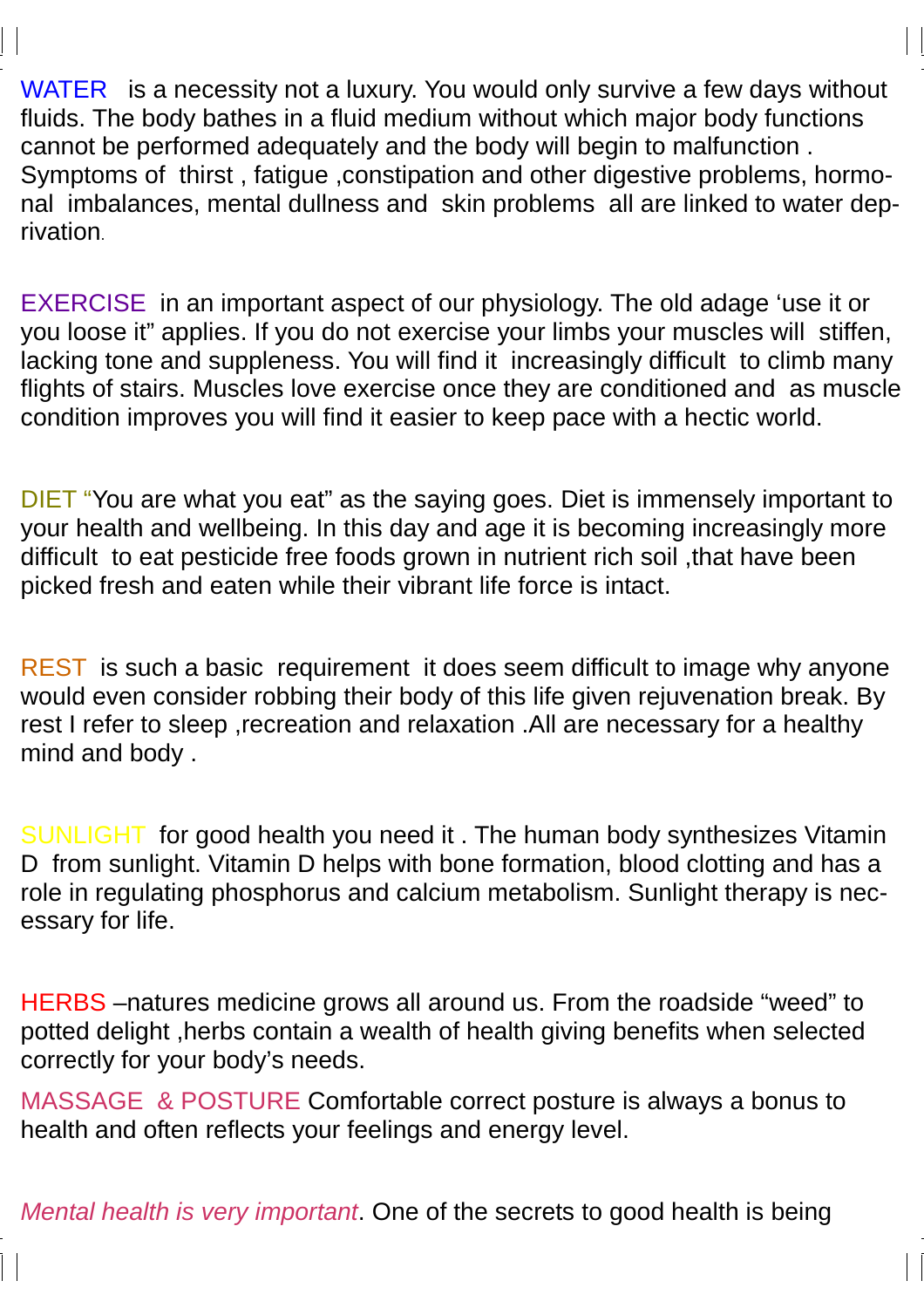WATER is a necessity not a luxury. You would only survive a few days without fluids. The body bathes in a fluid medium without which major body functions cannot be performed adequately and the body will begin to malfunction . Symptoms of thirst , fatigue ,constipation and other digestive problems, hormonal imbalances, mental dullness and skin problems all are linked to water deprivation.

EXERCISE in an important aspect of our physiology. The old adage 'use it or you loose it" applies. If you do not exercise your limbs your muscles will stiffen, lacking tone and suppleness. You will find it increasingly difficult to climb many flights of stairs. Muscles love exercise once they are conditioned and as muscle condition improves you will find it easier to keep pace with a hectic world.

DIET "You are what you eat" as the saying goes. Diet is immensely important to your health and wellbeing. In this day and age it is becoming increasingly more difficult to eat pesticide free foods grown in nutrient rich soil ,that have been picked fresh and eaten while their vibrant life force is intact.

REST is such a basic requirement it does seem difficult to image why anyone would even consider robbing their body of this life given rejuvenation break. By rest I refer to sleep ,recreation and relaxation .All are necessary for a healthy mind and body .

SUNLIGHT for good health you need it . The human body synthesizes Vitamin D from sunlight. Vitamin D helps with bone formation, blood clotting and has a role in regulating phosphorus and calcium metabolism. Sunlight therapy is necessary for life.

HERBS –natures medicine grows all around us. From the roadside "weed" to potted delight ,herbs contain a wealth of health giving benefits when selected correctly for your body's needs.

MASSAGE & POSTURE Comfortable correct posture is always a bonus to health and often reflects your feelings and energy level.

Mental health is very important. One of the secrets to good health is being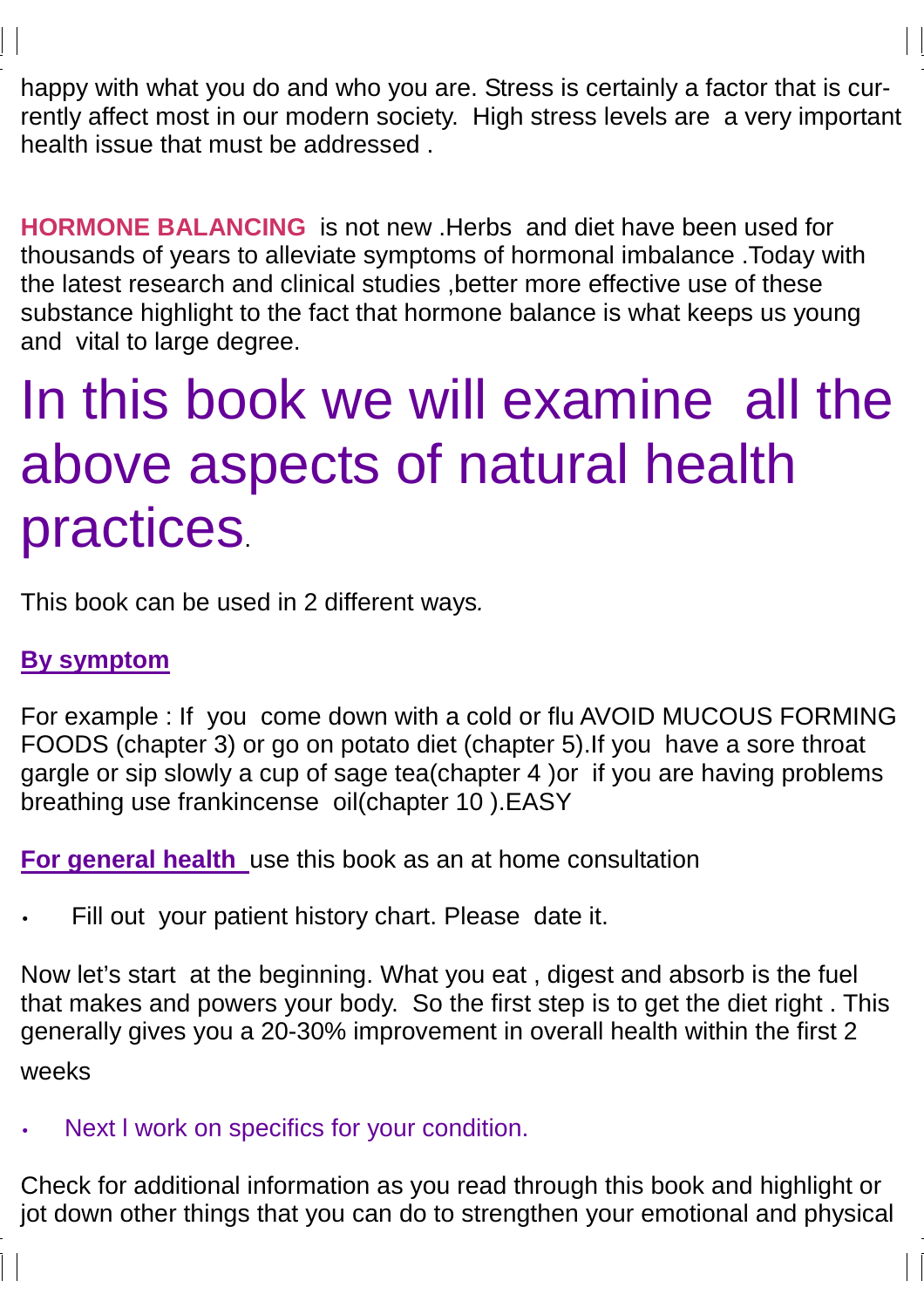happy with what you do and who you are. Stress is certainly a factor that is currently affect most in our modern society. High stress levels are a very important health issue that must be addressed .

**HORMONE BALANCING** is not new .Herbs and diet have been used for thousands of years to alleviate symptoms of hormonal imbalance .Today with the latest research and clinical studies ,better more effective use of these substance highlight to the fact that hormone balance is what keeps us young and vital to large degree.

# In this book we will examine all the above aspects of natural health practices.

This book can be used in 2 different ways.

#### **By symptom**

For example : If you come down with a cold or flu AVOID MUCOUS FORMING FOODS (chapter 3) or go on potato diet (chapter 5).If you have a sore throat gargle or sip slowly a cup of sage tea(chapter 4 )or if you are having problems breathing use frankincense oil(chapter 10 ).EASY

**For general health** use this book as an at home consultation

Fill out your patient history chart. Please date it.

Now let's start at the beginning. What you eat , digest and absorb is the fuel that makes and powers your body. So the first step is to get the diet right . This generally gives you a 20-30% improvement in overall health within the first 2 weeks

Next I work on specifics for your condition.

Check for additional information as you read through this book and highlight or jot down other things that you can do to strengthen your emotional and physical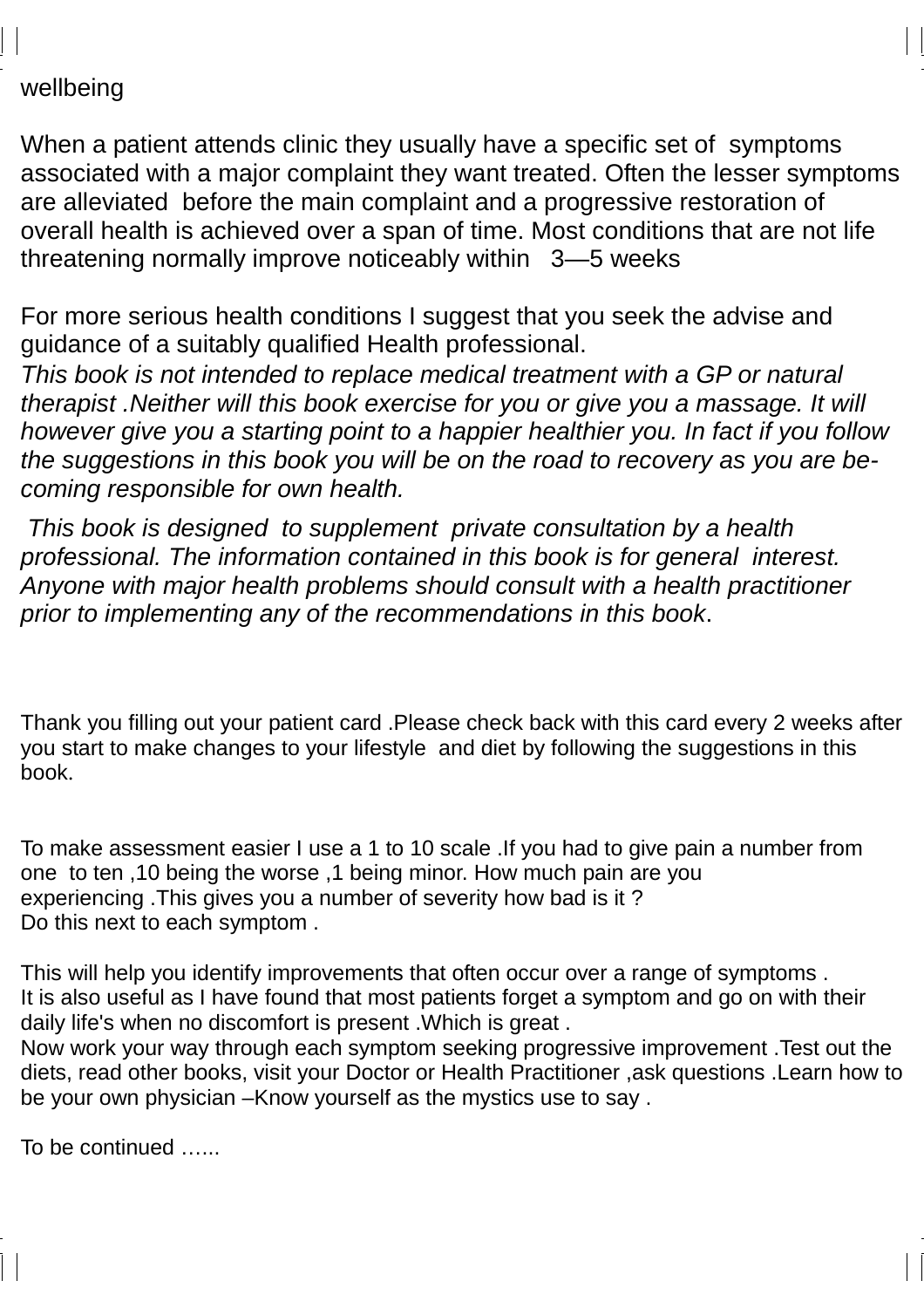#### wellbeing

When a patient attends clinic they usually have a specific set of symptoms associated with a major complaint they want treated. Often the lesser symptoms are alleviated before the main complaint and a progressive restoration of overall health is achieved over a span of time. Most conditions that are not life threatening normally improve noticeably within 3—5 weeks

For more serious health conditions I suggest that you seek the advise and guidance of a suitably qualified Health professional.

This book is not intended to replace medical treatment with a GP or natural therapist .Neither will this book exercise for you or give you a massage. It will however give you a starting point to a happier healthier you. In fact if you follow the suggestions in this book you will be on the road to recovery as you are becoming responsible for own health.

 This book is designed to supplement private consultation by a health professional. The information contained in this book is for general interest. Anyone with major health problems should consult with a health practitioner prior to implementing any of the recommendations in this book.

Thank you filling out your patient card .Please check back with this card every 2 weeks after you start to make changes to your lifestyle and diet by following the suggestions in this book.

To make assessment easier I use a 1 to 10 scale .If you had to give pain a number from one to ten ,10 being the worse ,1 being minor. How much pain are you experiencing .This gives you a number of severity how bad is it ? Do this next to each symptom .

This will help you identify improvements that often occur over a range of symptoms . It is also useful as I have found that most patients forget a symptom and go on with their daily life's when no discomfort is present .Which is great .

Now work your way through each symptom seeking progressive improvement .Test out the diets, read other books, visit your Doctor or Health Practitioner ,ask questions .Learn how to be your own physician –Know yourself as the mystics use to say .

To be continued …...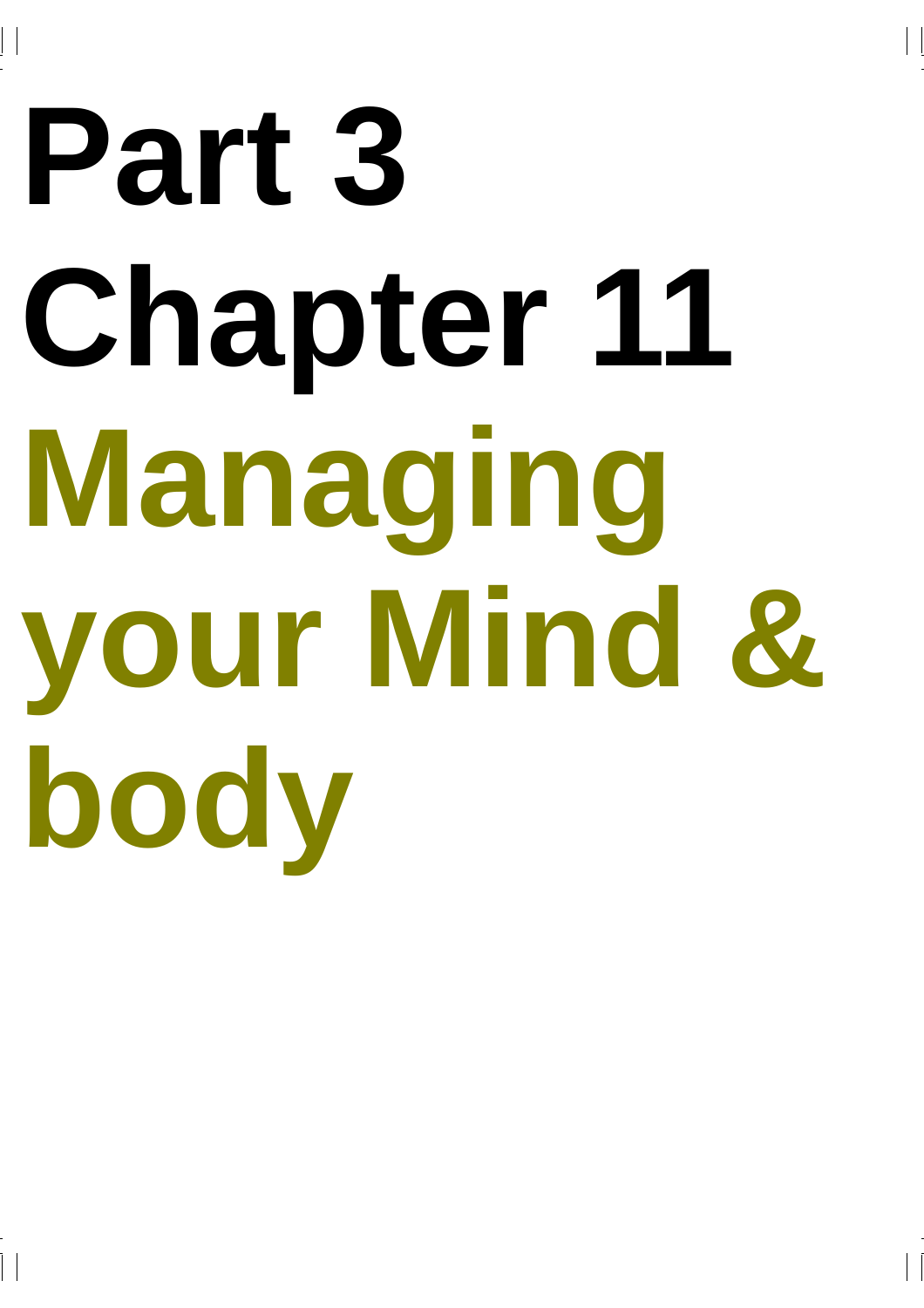# **Part 3 Chapter 11 Managing your Mind & body**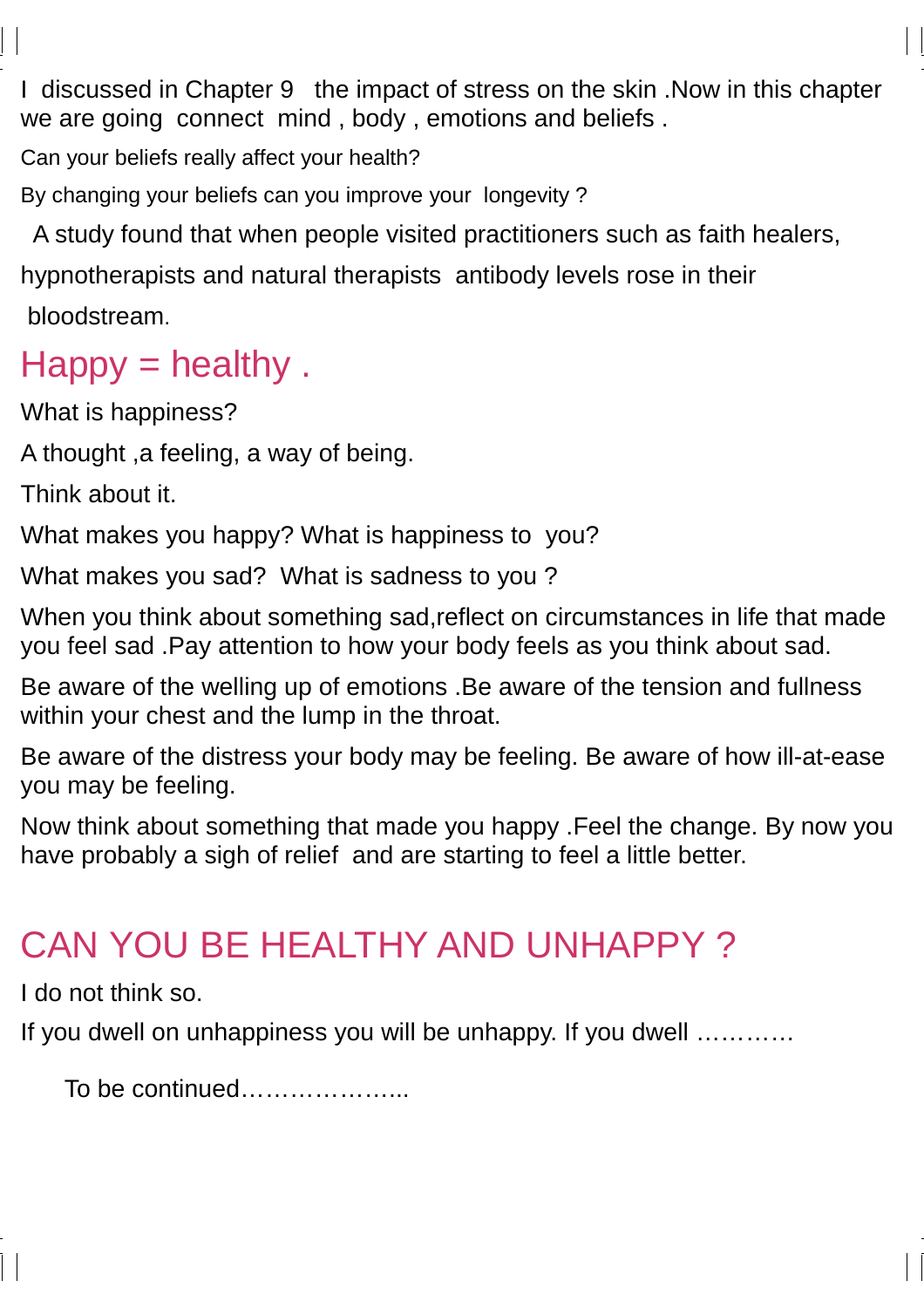I discussed in Chapter 9 the impact of stress on the skin .Now in this chapter we are going connect mind , body , emotions and beliefs .

Can your beliefs really affect your health?

By changing your beliefs can you improve your longevity ?

 A study found that when people visited practitioners such as faith healers, hypnotherapists and natural therapists antibody levels rose in their

bloodstream.

### $H$ appy = healthy.

What is happiness?

A thought ,a feeling, a way of being.

Think about it.

What makes you happy? What is happiness to you?

What makes you sad? What is sadness to you ?

When you think about something sad,reflect on circumstances in life that made you feel sad .Pay attention to how your body feels as you think about sad.

Be aware of the welling up of emotions .Be aware of the tension and fullness within your chest and the lump in the throat.

Be aware of the distress your body may be feeling. Be aware of how ill-at-ease you may be feeling.

Now think about something that made you happy .Feel the change. By now you have probably a sigh of relief and are starting to feel a little better.

## CAN YOU BE HEALTHY AND UNHAPPY ?

I do not think so.

If you dwell on unhappiness you will be unhappy. If you dwell …………

To be continued………………...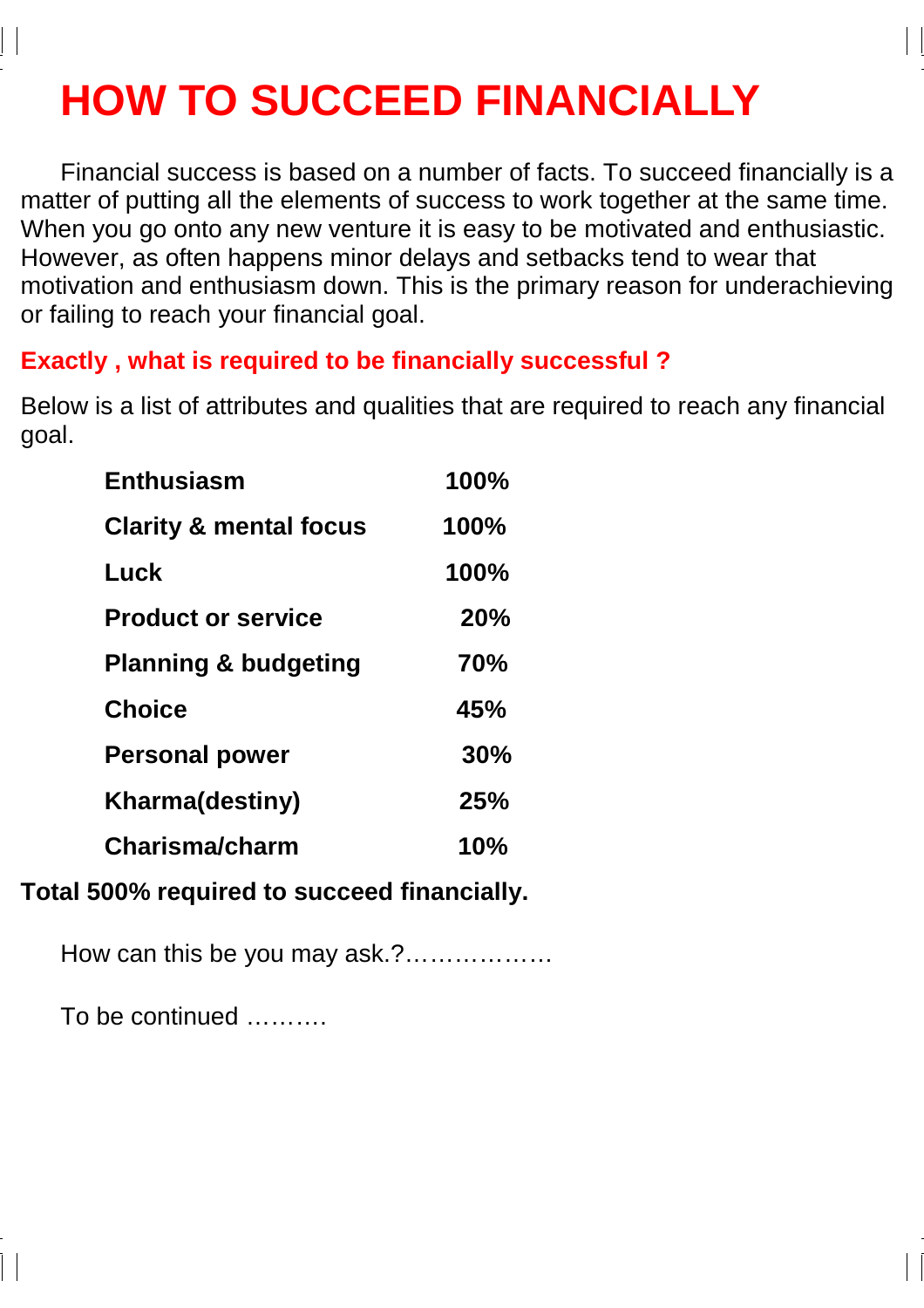# **HOW TO SUCCEED FINANCIALLY**

Financial success is based on a number of facts. To succeed financially is a matter of putting all the elements of success to work together at the same time. When you go onto any new venture it is easy to be motivated and enthusiastic. However, as often happens minor delays and setbacks tend to wear that motivation and enthusiasm down. This is the primary reason for underachieving or failing to reach your financial goal.

#### **Exactly , what is required to be financially successful ?**

Below is a list of attributes and qualities that are required to reach any financial goal.

| <b>Enthusiasm</b>                 | 100%       |
|-----------------------------------|------------|
| <b>Clarity &amp; mental focus</b> | 100%       |
| Luck                              | 100%       |
| <b>Product or service</b>         | 20%        |
| <b>Planning &amp; budgeting</b>   | <b>70%</b> |
| <b>Choice</b>                     | 45%        |
| <b>Personal power</b>             | 30%        |
| <b>Kharma(destiny)</b>            | 25%        |
| Charisma/charm                    | 10%        |

#### **Total 500% required to succeed financially.**

How can this be you may ask.?………………

To be continued ……….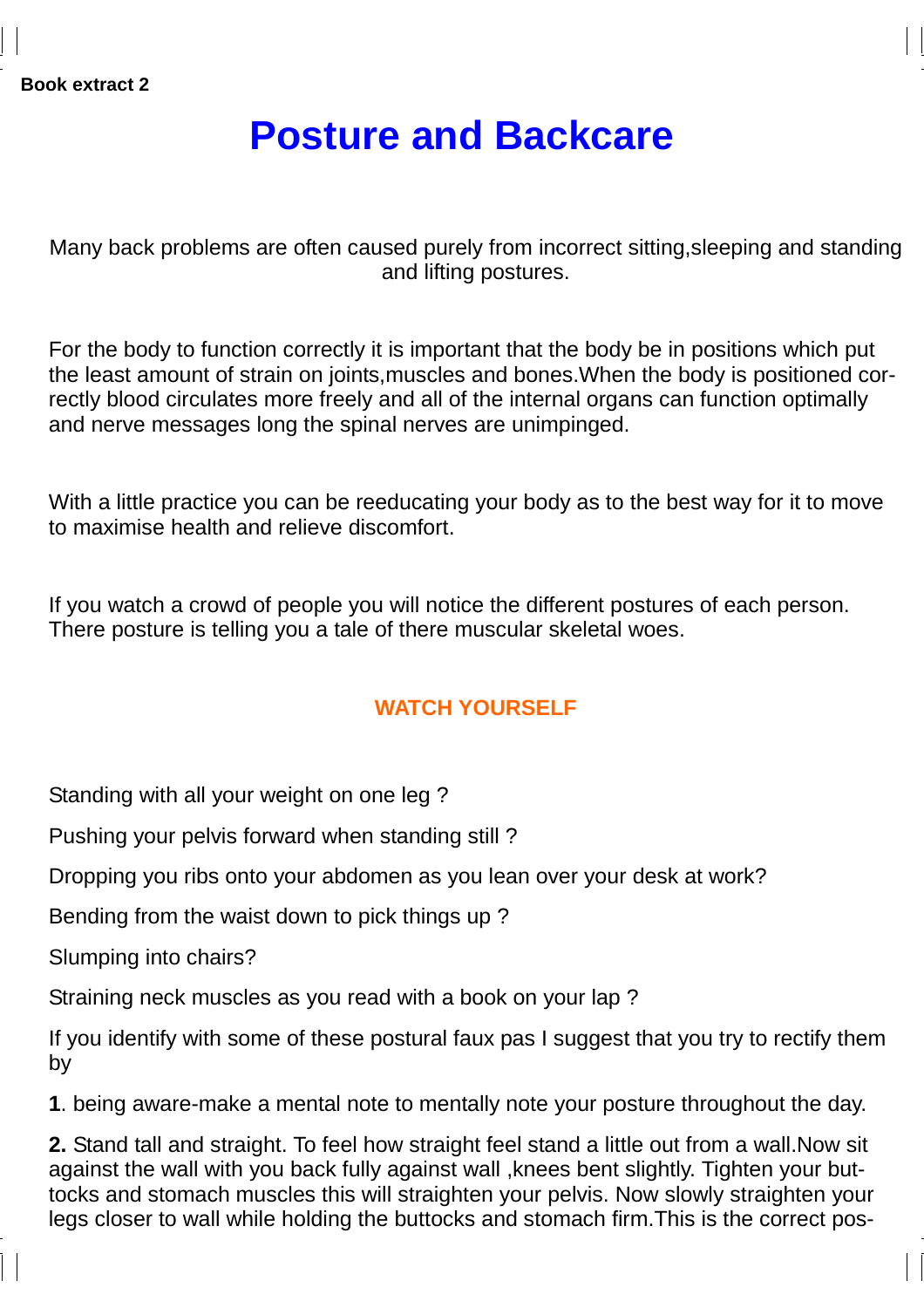### **Posture and Backcare**

Many back problems are often caused purely from incorrect sitting,sleeping and standing and lifting postures.

For the body to function correctly it is important that the body be in positions which put the least amount of strain on joints,muscles and bones.When the body is positioned correctly blood circulates more freely and all of the internal organs can function optimally and nerve messages long the spinal nerves are unimpinged.

With a little practice you can be reeducating your body as to the best way for it to move to maximise health and relieve discomfort.

If you watch a crowd of people you will notice the different postures of each person. There posture is telling you a tale of there muscular skeletal woes.

#### **WATCH YOURSELF**

Standing with all your weight on one leg ?

Pushing your pelvis forward when standing still ?

Dropping you ribs onto your abdomen as you lean over your desk at work?

Bending from the waist down to pick things up ?

Slumping into chairs?

Straining neck muscles as you read with a book on your lap ?

If you identify with some of these postural faux pas I suggest that you try to rectify them by

**1**. being aware-make a mental note to mentally note your posture throughout the day.

**2.** Stand tall and straight. To feel how straight feel stand a little out from a wall.Now sit against the wall with you back fully against wall ,knees bent slightly. Tighten your buttocks and stomach muscles this will straighten your pelvis. Now slowly straighten your legs closer to wall while holding the buttocks and stomach firm.This is the correct pos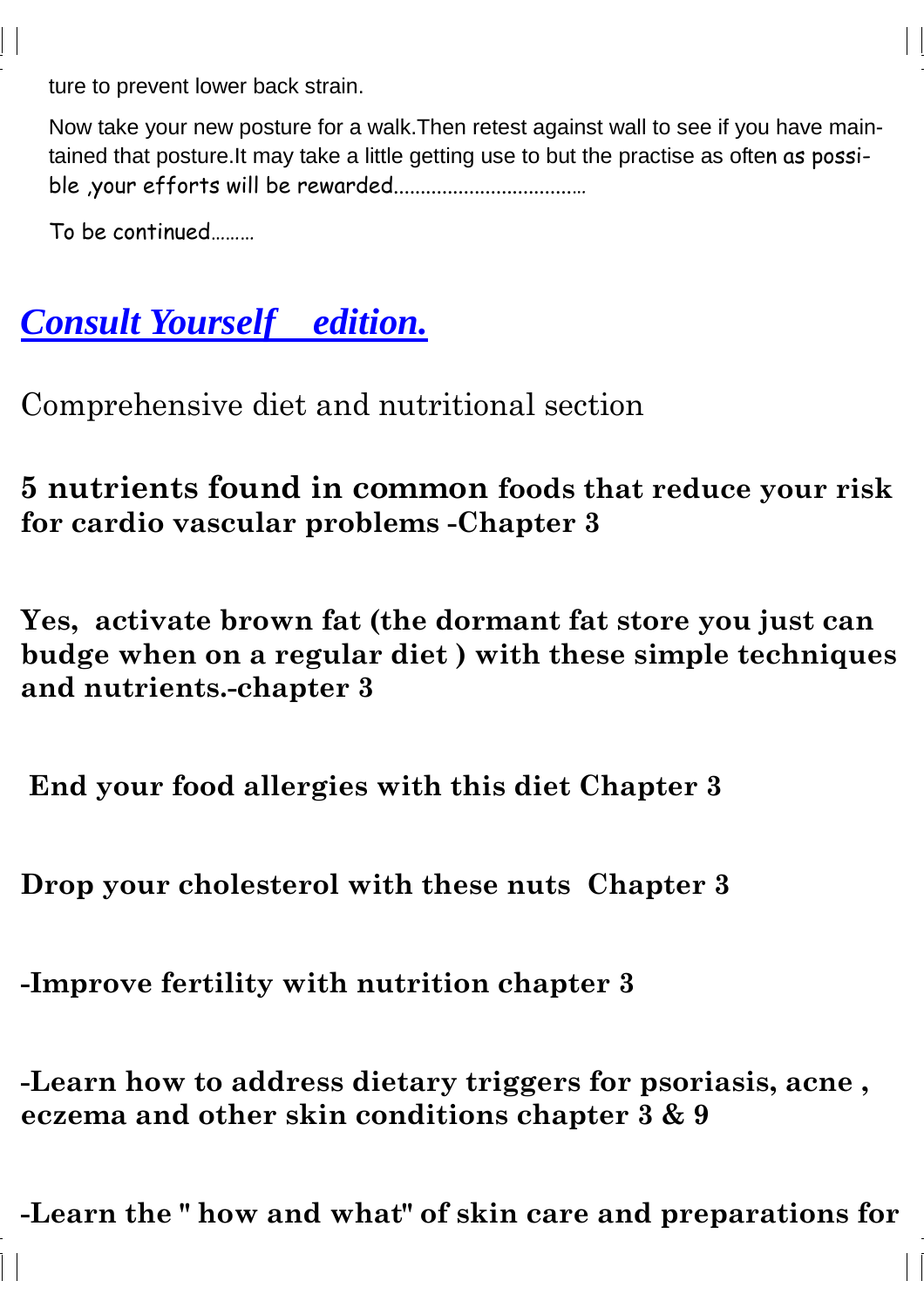ture to prevent lower back strain.

Now take your new posture for a walk.Then retest against wall to see if you have maintained that posture.It may take a little getting use to but the practise as often as possible ,your efforts will be rewarded.................................…

To be continued………

## *Consult Yourself edition.*

Comprehensive diet and nutritional section

5 nutrients found in common foods that reduce your risk for cardio vascular problems -Chapter 3

Yes, activate brown fat (the dormant fat store you just can budge when on a regular diet ) with these simple techniques and nutrients.-chapter 3

End your food allergies with this diet Chapter 3

Drop your cholesterol with these nuts Chapter 3

-Improve fertility with nutrition chapter 3

-Learn how to address dietary triggers for psoriasis, acne , eczema and other skin conditions chapter 3 & 9

-Learn the " how and what" of skin care and preparations for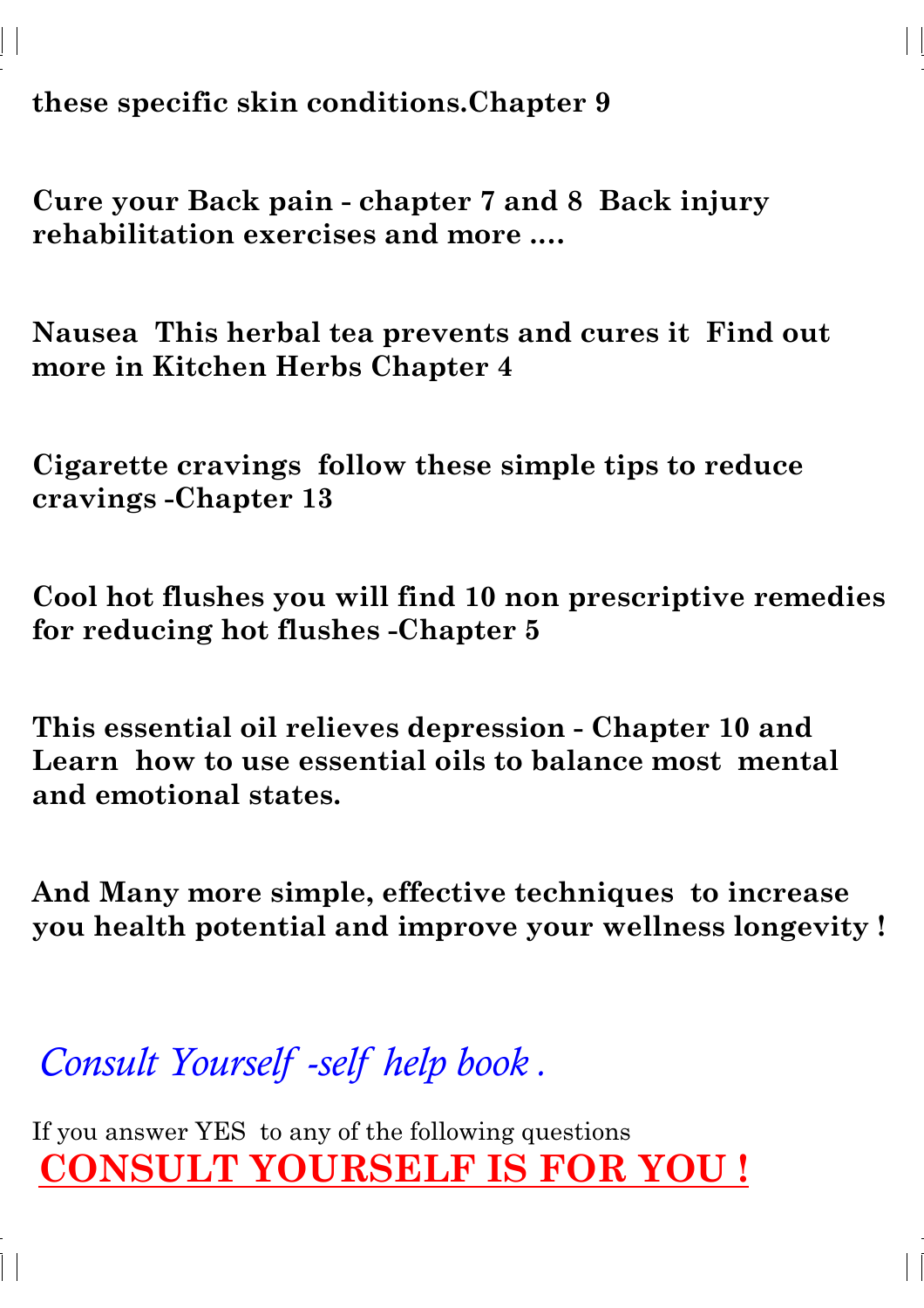these specific skin conditions.Chapter 9

Cure your Back pain - chapter 7 and 8 Back injury rehabilitation exercises and more .…

Nausea This herbal tea prevents and cures it Find out more in Kitchen Herbs Chapter 4

Cigarette cravings follow these simple tips to reduce cravings -Chapter 13

Cool hot flushes you will find 10 non prescriptive remedies for reducing hot flushes -Chapter 5

This essential oil relieves depression - Chapter 10 and Learn how to use essential oils to balance most mental and emotional states.

And Many more simple, effective techniques to increase you health potential and improve your wellness longevity !

Consult Yourself -self help book .

If you answer YES to any of the following questions CONSULT YOURSELF IS FOR YOU !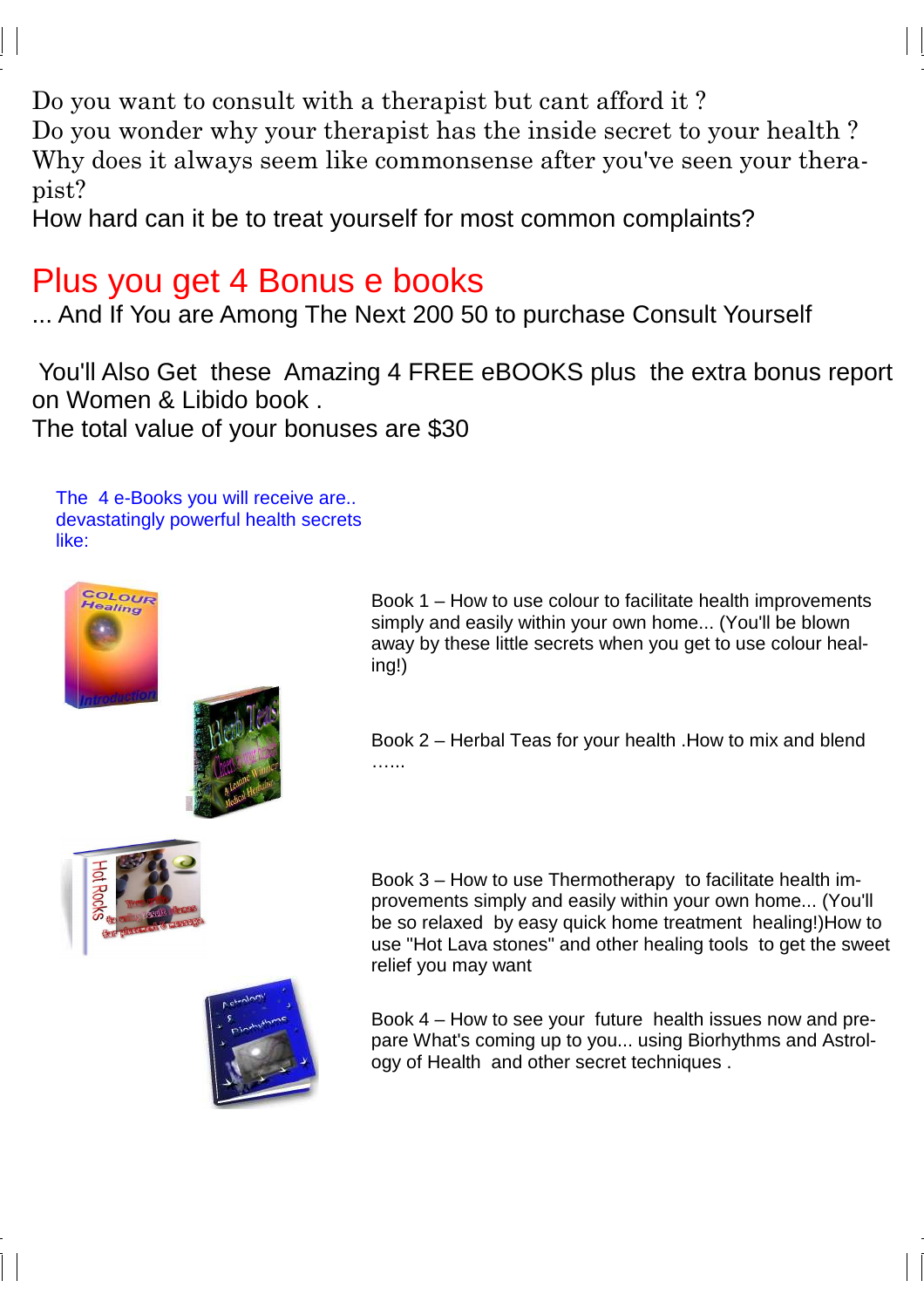Do you want to consult with a therapist but cant afford it ?

Do you wonder why your therapist has the inside secret to your health ? Why does it always seem like commonsense after you've seen your therapist?

How hard can it be to treat yourself for most common complaints?

#### Plus you get 4 Bonus e books

... And If You are Among The Next 200 50 to purchase Consult Yourself

 You'll Also Get these Amazing 4 FREE eBOOKS plus the extra bonus report on Women & Libido book . The total value of your bonuses are \$30

The 4 e-Books you will receive are.. devastatingly powerful health secrets like:





Book 1 – How to use colour to facilitate health improvements simply and easily within your own home... (You'll be blown away by these little secrets when you get to use colour healing!)

Book 2 – Herbal Teas for your health .How to mix and blend …...





Book 3 – How to use Thermotherapy to facilitate health improvements simply and easily within your own home... (You'll be so relaxed by easy quick home treatment healing!)How to use "Hot Lava stones" and other healing tools to get the sweet relief you may want

Book 4 – How to see your future health issues now and prepare What's coming up to you... using Biorhythms and Astrology of Health and other secret techniques .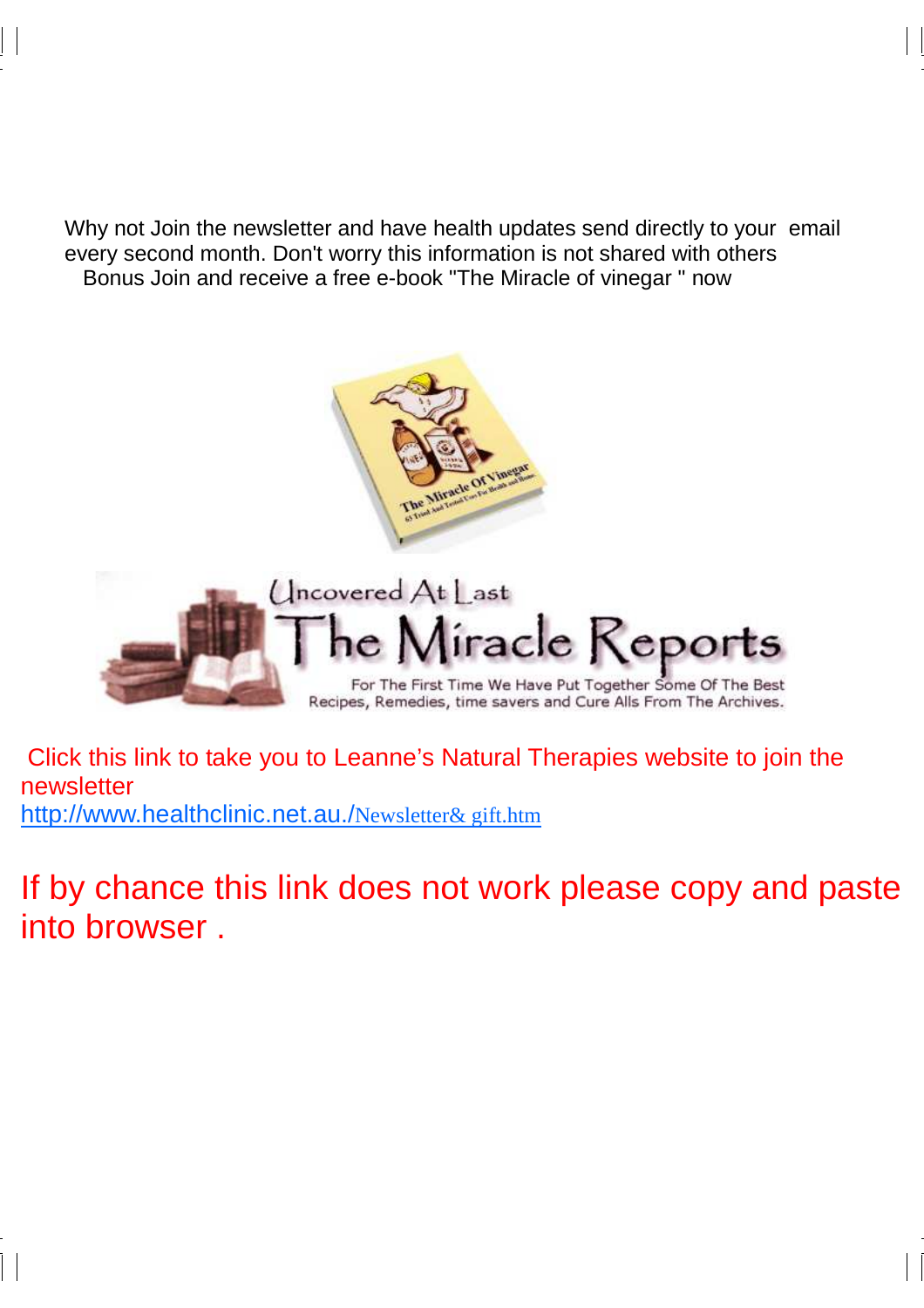Why not Join the newsletter and have health updates send directly to your email every second month. Don't worry this information is not shared with others Bonus Join and receive a free e-book "The Miracle of vinegar " now



 Click this link to take you to Leanne's Natural Therapies website to join the newsletter http://www.healthclinic.net.au./Newsletter& gift.htm

If by chance this link does not work please copy and paste into browser .